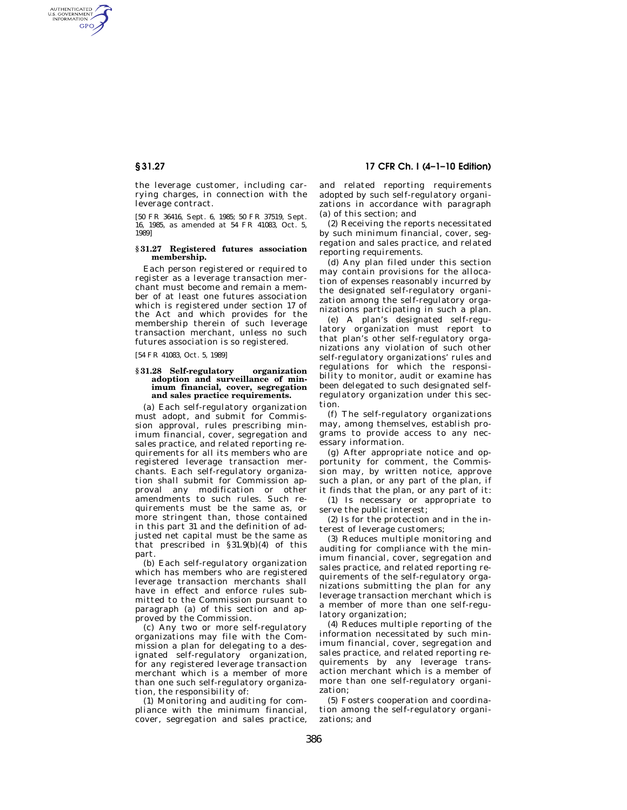AUTHENTICATED<br>U.S. GOVERNMENT<br>INFORMATION **GPO** 

> the leverage customer, including carrying charges, in connection with the leverage contract.

> [50 FR 36416, Sept. 6, 1985; 50 FR 37519, Sept. 16, 1985, as amended at 54 FR 41083, Oct. 5, 1989]

### **§ 31.27 Registered futures association membership.**

Each person registered or required to register as a leverage transaction merchant must become and remain a member of at least one futures association which is registered under section 17 of the Act and which provides for the membership therein of such leverage transaction merchant, unless no such futures association is so registered.

[54 FR 41083, Oct. 5, 1989]

#### **§ 31.28 Self-regulatory organization adoption and surveillance of minimum financial, cover, segregation and sales practice requirements.**

(a) Each self-regulatory organization must adopt, and submit for Commission approval, rules prescribing minimum financial, cover, segregation and sales practice, and related reporting requirements for all its members who are registered leverage transaction merchants. Each self-regulatory organization shall submit for Commission approval any modification or other amendments to such rules. Such requirements must be the same as, or more stringent than, those contained in this part 31 and the definition of adjusted net capital must be the same as that prescribed in §31.9(b)(4) of this part.

(b) Each self-regulatory organization which has members who are registered leverage transaction merchants shall have in effect and enforce rules submitted to the Commission pursuant to paragraph (a) of this section and approved by the Commission.

(c) Any two or more self-regulatory organizations may file with the Commission a plan for delegating to a designated self-regulatory organization, for any registered leverage transaction merchant which is a member of more than one such self-regulatory organization, the responsibility of:

(1) Monitoring and auditing for compliance with the minimum financial, cover, segregation and sales practice,

**§ 31.27 17 CFR Ch. I (4–1–10 Edition)** 

and related reporting requirements adopted by such self-regulatory organizations in accordance with paragraph (a) of this section; and

(2) Receiving the reports necessitated by such minimum financial, cover, segregation and sales practice, and related reporting requirements.

(d) Any plan filed under this section may contain provisions for the allocation of expenses reasonably incurred by the designated self-regulatory organization among the self-regulatory organizations participating in such a plan.

(e) A plan's designated self-regulatory organization must report to that plan's other self-regulatory organizations any violation of such other self-regulatory organizations' rules and regulations for which the responsibility to monitor, audit or examine has been delegated to such designated selfregulatory organization under this section.

(f) The self-regulatory organizations may, among themselves, establish programs to provide access to any necessary information.

(g) After appropriate notice and opportunity for comment, the Commission may, by written notice, approve such a plan, or any part of the plan, if it finds that the plan, or any part of it:

(1) Is necessary or appropriate to serve the public interest;

(2) Is for the protection and in the interest of leverage customers;

(3) Reduces multiple monitoring and auditing for compliance with the minimum financial, cover, segregation and sales practice, and related reporting requirements of the self-regulatory organizations submitting the plan for any leverage transaction merchant which is a member of more than one self-regulatory organization;

(4) Reduces multiple reporting of the information necessitated by such minimum financial, cover, segregation and sales practice, and related reporting requirements by any leverage transaction merchant which is a member of more than one self-regulatory organization;

(5) Fosters cooperation and coordination among the self-regulatory organizations; and